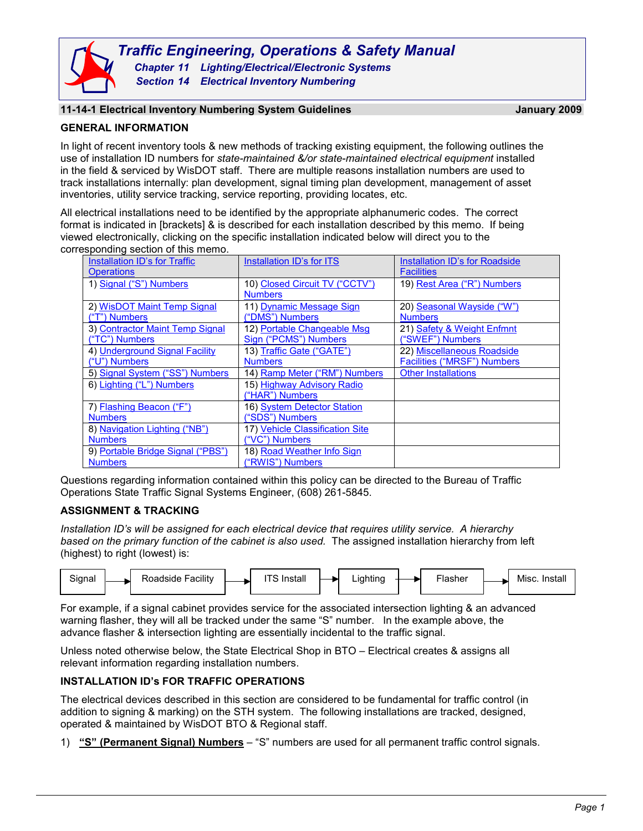*Section 14 Electrical Inventory Numbering*

# **11-14-1 Electrical Inventory Numbering System Guidelines January 2009**

### **GENERAL INFORMATION**

In light of recent inventory tools & new methods of tracking existing equipment, the following outlines the use of installation ID numbers for *state-maintained &/or state-maintained electrical equipment* installed in the field & serviced by WisDOT staff. There are multiple reasons installation numbers are used to track installations internally: plan development, signal timing plan development, management of asset inventories, utility service tracking, service reporting, providing locates, etc.

All electrical installations need to be identified by the appropriate alphanumeric codes. The correct format is indicated in [brackets] & is described for each installation described by this memo. If being viewed electronically, clicking on the specific installation indicated below will direct you to the corresponding section of this memo.

| <b>Installation ID's for Traffic</b> | Installation ID's for ITS       | Installation ID's for Roadside     |
|--------------------------------------|---------------------------------|------------------------------------|
| Operations                           |                                 | <b>Facilities</b>                  |
| 1) Signal ("S") Numbers              | 10) Closed Circuit TV ("CCTV")  | 19) Rest Area ("R") Numbers        |
|                                      | <b>Numbers</b>                  |                                    |
| 2) WisDOT Maint Temp Signal          | 11) Dynamic Message Sign        | 20) Seasonal Wayside ("W")         |
| ("T") Numbers                        | ("DMS") Numbers                 | <b>Numbers</b>                     |
| 3) Contractor Maint Temp Signal      | 12) Portable Changeable Msg     | 21) Safety & Weight Enfmnt         |
| ("TC") Numbers                       | Sign ("PCMS") Numbers           | ("SWEF") Numbers                   |
| 4) Underground Signal Facility       | 13) Traffic Gate ("GATE")       | 22) Miscellaneous Roadside         |
| ("U") Numbers                        | <b>Numbers</b>                  | <b>Facilities ("MRSF") Numbers</b> |
| 5) Signal System ("SS") Numbers      | 14) Ramp Meter ("RM") Numbers   | <b>Other Installations</b>         |
| 6) Lighting ("L") Numbers            | 15) Highway Advisory Radio      |                                    |
|                                      | ("HAR") Numbers                 |                                    |
| 7) Flashing Beacon ("F")             | 16) System Detector Station     |                                    |
| <b>Numbers</b>                       | ("SDS") Numbers                 |                                    |
| 8) Navigation Lighting ("NB")        | 17) Vehicle Classification Site |                                    |
| <b>Numbers</b>                       | ("VC") Numbers                  |                                    |
| 9) Portable Bridge Signal ("PBS")    | 18) Road Weather Info Sign      |                                    |
| <b>Numbers</b>                       | ("RWIS") Numbers                |                                    |

<span id="page-0-2"></span>Questions regarding information contained within this policy can be directed to the Bureau of Traffic Operations State Traffic Signal Systems Engineer, (608) 261-5845.

# **ASSIGNMENT & TRACKING**

*Installation ID's will be assigned for each electrical device that requires utility service. A hierarchy based on the primary function of the cabinet is also used.* The assigned installation hierarchy from left (highest) to right (lowest) is:



For example, if a signal cabinet provides service for the associated intersection lighting & an advanced warning flasher, they will all be tracked under the same "S" number. In the example above, the advance flasher & intersection lighting are essentially incidental to the traffic signal.

Unless noted otherwise below, the State Electrical Shop in BTO – Electrical creates & assigns all relevant information regarding installation numbers.

# <span id="page-0-0"></span>**INSTALLATION ID's FOR TRAFFIC OPERATIONS**

The electrical devices described in this section are considered to be fundamental for traffic control (in addition to signing & marking) on the STH system. The following installations are tracked, designed, operated & maintained by WisDOT BTO & Regional staff.

<span id="page-0-1"></span>1) **"S" (Permanent Signal) Numbers** – "S" numbers are used for all permanent traffic control signals.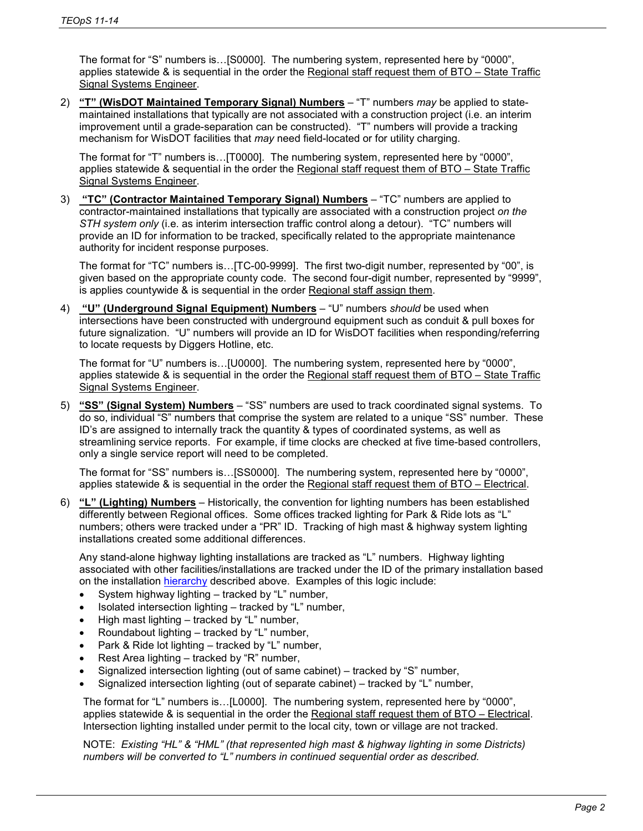The format for "S" numbers is…[S0000]. The numbering system, represented here by "0000", applies statewide & is sequential in the order the Regional staff request them of BTO – State Traffic Signal Systems Engineer.

<span id="page-1-0"></span>2) **"T" (WisDOT Maintained Temporary Signal) Numbers** – "T" numbers *may* be applied to statemaintained installations that typically are not associated with a construction project (i.e. an interim improvement until a grade-separation can be constructed). "T" numbers will provide a tracking mechanism for WisDOT facilities that *may* need field-located or for utility charging.

The format for "T" numbers is…[T0000]. The numbering system, represented here by "0000", applies statewide & sequential in the order the Regional staff request them of BTO – State Traffic Signal Systems Engineer.

<span id="page-1-1"></span>3) **"TC" (Contractor Maintained Temporary Signal) Numbers** – "TC" numbers are applied to contractor-maintained installations that typically are associated with a construction project *on the STH system only* (i.e. as interim intersection traffic control along a detour). "TC" numbers will provide an ID for information to be tracked, specifically related to the appropriate maintenance authority for incident response purposes.

The format for "TC" numbers is…[TC-00-9999]. The first two-digit number, represented by "00", is given based on the appropriate county code. The second four-digit number, represented by "9999", is applies countywide & is sequential in the order Regional staff assign them.

<span id="page-1-2"></span>4) **"U" (Underground Signal Equipment) Numbers** – "U" numbers *should* be used when intersections have been constructed with underground equipment such as conduit & pull boxes for future signalization. "U" numbers will provide an ID for WisDOT facilities when responding/referring to locate requests by Diggers Hotline, etc.

The format for "U" numbers is…[U0000]. The numbering system, represented here by "0000", applies statewide & is sequential in the order the Regional staff request them of BTO – State Traffic Signal Systems Engineer.

<span id="page-1-3"></span>5) **"SS" (Signal System) Numbers** – "SS" numbers are used to track coordinated signal systems. To do so, individual "S" numbers that comprise the system are related to a unique "SS" number. These ID's are assigned to internally track the quantity & types of coordinated systems, as well as streamlining service reports. For example, if time clocks are checked at five time-based controllers, only a single service report will need to be completed.

The format for "SS" numbers is…[SS0000]. The numbering system, represented here by "0000", applies statewide & is sequential in the order the Regional staff request them of BTO – Electrical.

<span id="page-1-4"></span>6) **"L" (Lighting) Numbers** – Historically, the convention for lighting numbers has been established differently between Regional offices. Some offices tracked lighting for Park & Ride lots as "L" numbers; others were tracked under a "PR" ID. Tracking of high mast & highway system lighting installations created some additional differences.

Any stand-alone highway lighting installations are tracked as "L" numbers. Highway lighting associated with other facilities/installations are tracked under the ID of the primary installation based on the installation [hierarchy](#page-0-2) described above. Examples of this logic include:

- System highway lighting tracked by "L" number,
- Isolated intersection lighting tracked by "L" number,
- High mast lighting tracked by "L" number,
- Roundabout lighting tracked by "L" number,
- Park & Ride lot lighting tracked by "L" number,
- Rest Area lighting tracked by "R" number,
- Signalized intersection lighting (out of same cabinet) tracked by "S" number,
- Signalized intersection lighting (out of separate cabinet) tracked by "L" number,

The format for "L" numbers is…[L0000]. The numbering system, represented here by "0000", applies statewide & is sequential in the order the Regional staff request them of BTO – Electrical. Intersection lighting installed under permit to the local city, town or village are not tracked.

NOTE: *Existing "HL" & "HML" (that represented high mast & highway lighting in some Districts) numbers will be converted to "L" numbers in continued sequential order as described.*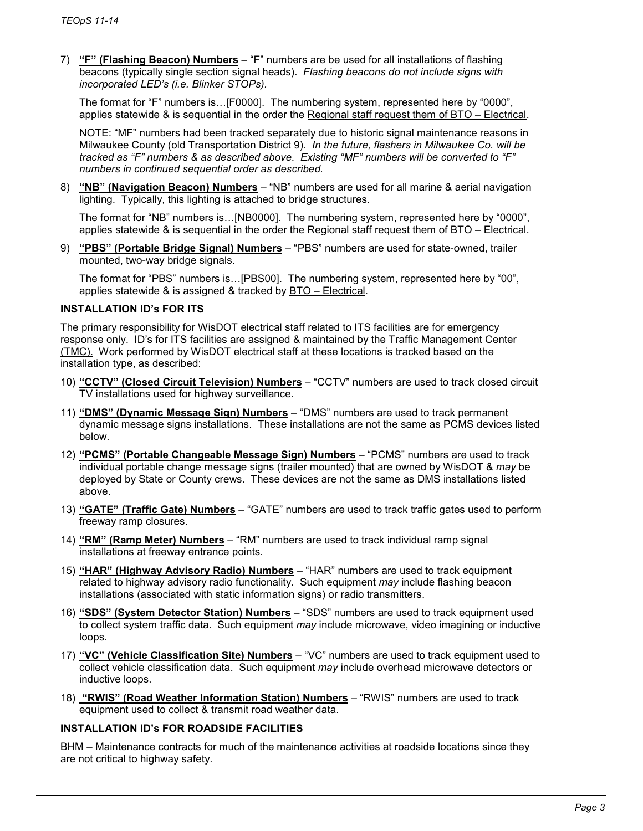<span id="page-2-8"></span>7) **"F" (Flashing Beacon) Numbers** – "F" numbers are be used for all installations of flashing beacons (typically single section signal heads). *Flashing beacons do not include signs with incorporated LED's (i.e. Blinker STOPs).*

The format for "F" numbers is…[F0000]. The numbering system, represented here by "0000", applies statewide & is sequential in the order the Regional staff request them of BTO – Electrical.

NOTE: "MF" numbers had been tracked separately due to historic signal maintenance reasons in Milwaukee County (old Transportation District 9). *In the future, flashers in Milwaukee Co. will be tracked as "F" numbers & as described above. Existing "MF" numbers will be converted to "F" numbers in continued sequential order as described.* 

<span id="page-2-10"></span>8) **"NB" (Navigation Beacon) Numbers** – "NB" numbers are used for all marine & aerial navigation lighting. Typically, this lighting is attached to bridge structures.

The format for "NB" numbers is…[NB0000]. The numbering system, represented here by "0000", applies statewide & is sequential in the order the Regional staff request them of BTO – Electrical.

<span id="page-2-12"></span>9) **"PBS" (Portable Bridge Signal) Numbers** – "PBS" numbers are used for state-owned, trailer mounted, two-way bridge signals.

The format for "PBS" numbers is…[PBS00]. The numbering system, represented here by "00", applies statewide & is assigned & tracked by BTO – Electrical.

### <span id="page-2-0"></span>**INSTALLATION ID's FOR ITS**

The primary responsibility for WisDOT electrical staff related to ITS facilities are for emergency response only. ID's for ITS facilities are assigned & maintained by the Traffic Management Center (TMC). Work performed by WisDOT electrical staff at these locations is tracked based on the installation type, as described:

- <span id="page-2-2"></span>10) **"CCTV" (Closed Circuit Television) Numbers** – "CCTV" numbers are used to track closed circuit TV installations used for highway surveillance.
- <span id="page-2-3"></span>11) **"DMS" (Dynamic Message Sign) Numbers** – "DMS" numbers are used to track permanent dynamic message signs installations. These installations are not the same as PCMS devices listed below.
- <span id="page-2-4"></span>12) **"PCMS" (Portable Changeable Message Sign) Numbers** – "PCMS" numbers are used to track individual portable change message signs (trailer mounted) that are owned by WisDOT & *may* be deployed by State or County crews. These devices are not the same as DMS installations listed above.
- <span id="page-2-5"></span>13) **"GATE" (Traffic Gate) Numbers** – "GATE" numbers are used to track traffic gates used to perform freeway ramp closures.
- <span id="page-2-6"></span>14) **"RM" (Ramp Meter) Numbers** – "RM" numbers are used to track individual ramp signal installations at freeway entrance points.
- <span id="page-2-7"></span>15) **"HAR" (Highway Advisory Radio) Numbers** – "HAR" numbers are used to track equipment related to highway advisory radio functionality. Such equipment *may* include flashing beacon installations (associated with static information signs) or radio transmitters.
- <span id="page-2-9"></span>16) **"SDS" (System Detector Station) Numbers** – "SDS" numbers are used to track equipment used to collect system traffic data. Such equipment *may* include microwave, video imagining or inductive loops.
- <span id="page-2-11"></span>17) **"VC" (Vehicle Classification Site) Numbers** – "VC" numbers are used to track equipment used to collect vehicle classification data. Such equipment *may* include overhead microwave detectors or inductive loops.
- <span id="page-2-13"></span>18) **"RWIS" (Road Weather Information Station) Numbers** – "RWIS" numbers are used to track equipment used to collect & transmit road weather data.

#### <span id="page-2-1"></span>**INSTALLATION ID's FOR ROADSIDE FACILITIES**

BHM – Maintenance contracts for much of the maintenance activities at roadside locations since they are not critical to highway safety.